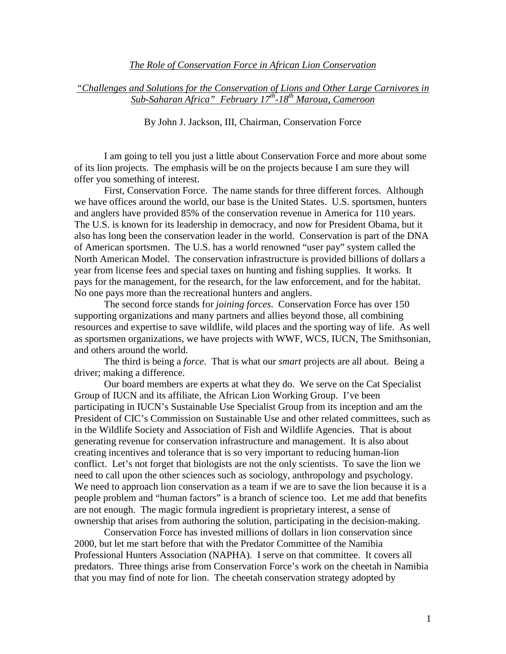## *The Role of Conservation Force in African Lion Conservation*

## *"Challenges and Solutions for the Conservation of Lions and Other Large Carnivores in Sub-Saharan Africa" February 17th-18th Maroua, Cameroon*

By John J. Jackson, III, Chairman, Conservation Force

I am going to tell you just a little about Conservation Force and more about some of its lion projects. The emphasis will be on the projects because I am sure they will offer you something of interest.

First, Conservation Force. The name stands for three different forces. Although we have offices around the world, our base is the United States. U.S. sportsmen, hunters and anglers have provided 85% of the conservation revenue in America for 110 years. The U.S. is known for its leadership in democracy, and now for President Obama, but it also has long been the conservation leader in the world. Conservation is part of the DNA of American sportsmen. The U.S. has a world renowned "user pay" system called the North American Model. The conservation infrastructure is provided billions of dollars a year from license fees and special taxes on hunting and fishing supplies. It works. It pays for the management, for the research, for the law enforcement, and for the habitat. No one pays more than the recreational hunters and anglers.

The second force stands for *joining forces*. Conservation Force has over 150 supporting organizations and many partners and allies beyond those, all combining resources and expertise to save wildlife, wild places and the sporting way of life. As well as sportsmen organizations, we have projects with WWF, WCS, IUCN, The Smithsonian, and others around the world.

The third is being a *force*. That is what our *smart* projects are all about. Being a driver; making a difference.

Our board members are experts at what they do. We serve on the Cat Specialist Group of IUCN and its affiliate, the African Lion Working Group. I've been participating in IUCN's Sustainable Use Specialist Group from its inception and am the President of CIC's Commission on Sustainable Use and other related committees, such as in the Wildlife Society and Association of Fish and Wildlife Agencies. That is about generating revenue for conservation infrastructure and management. It is also about creating incentives and tolerance that is so very important to reducing human-lion conflict. Let's not forget that biologists are not the only scientists. To save the lion we need to call upon the other sciences such as sociology, anthropology and psychology. We need to approach lion conservation as a team if we are to save the lion because it is a people problem and "human factors" is a branch of science too. Let me add that benefits are not enough. The magic formula ingredient is proprietary interest, a sense of ownership that arises from authoring the solution, participating in the decision-making.

Conservation Force has invested millions of dollars in lion conservation since 2000, but let me start before that with the Predator Committee of the Namibia Professional Hunters Association (NAPHA). I serve on that committee. It covers all predators. Three things arise from Conservation Force's work on the cheetah in Namibia that you may find of note for lion. The cheetah conservation strategy adopted by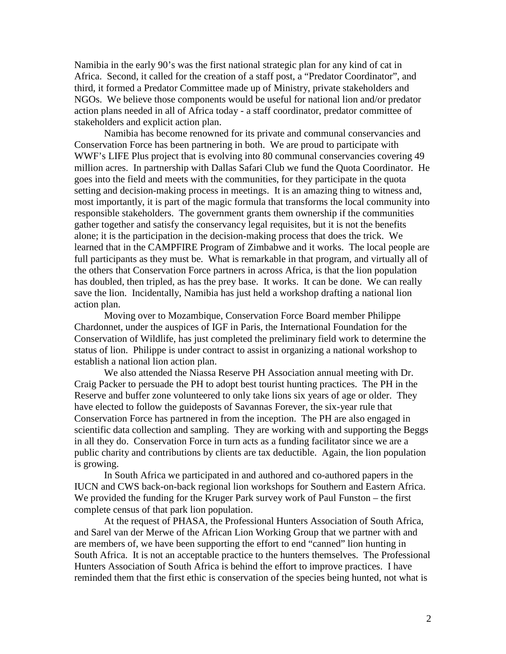Namibia in the early 90's was the first national strategic plan for any kind of cat in Africa. Second, it called for the creation of a staff post, a "Predator Coordinator", and third, it formed a Predator Committee made up of Ministry, private stakeholders and NGOs. We believe those components would be useful for national lion and/or predator action plans needed in all of Africa today - a staff coordinator, predator committee of stakeholders and explicit action plan.

Namibia has become renowned for its private and communal conservancies and Conservation Force has been partnering in both. We are proud to participate with WWF's LIFE Plus project that is evolving into 80 communal conservancies covering 49 million acres. In partnership with Dallas Safari Club we fund the Quota Coordinator. He goes into the field and meets with the communities, for they participate in the quota setting and decision-making process in meetings. It is an amazing thing to witness and, most importantly, it is part of the magic formula that transforms the local community into responsible stakeholders. The government grants them ownership if the communities gather together and satisfy the conservancy legal requisites, but it is not the benefits alone; it is the participation in the decision-making process that does the trick. We learned that in the CAMPFIRE Program of Zimbabwe and it works. The local people are full participants as they must be. What is remarkable in that program, and virtually all of the others that Conservation Force partners in across Africa, is that the lion population has doubled, then tripled, as has the prey base. It works. It can be done. We can really save the lion. Incidentally, Namibia has just held a workshop drafting a national lion action plan.

Moving over to Mozambique, Conservation Force Board member Philippe Chardonnet, under the auspices of IGF in Paris, the International Foundation for the Conservation of Wildlife, has just completed the preliminary field work to determine the status of lion. Philippe is under contract to assist in organizing a national workshop to establish a national lion action plan.

We also attended the Niassa Reserve PH Association annual meeting with Dr. Craig Packer to persuade the PH to adopt best tourist hunting practices. The PH in the Reserve and buffer zone volunteered to only take lions six years of age or older. They have elected to follow the guideposts of Savannas Forever, the six-year rule that Conservation Force has partnered in from the inception. The PH are also engaged in scientific data collection and sampling. They are working with and supporting the Beggs in all they do. Conservation Force in turn acts as a funding facilitator since we are a public charity and contributions by clients are tax deductible. Again, the lion population is growing.

In South Africa we participated in and authored and co-authored papers in the IUCN and CWS back-on-back regional lion workshops for Southern and Eastern Africa. We provided the funding for the Kruger Park survey work of Paul Funston – the first complete census of that park lion population.

At the request of PHASA, the Professional Hunters Association of South Africa, and Sarel van der Merwe of the African Lion Working Group that we partner with and are members of, we have been supporting the effort to end "canned" lion hunting in South Africa. It is not an acceptable practice to the hunters themselves. The Professional Hunters Association of South Africa is behind the effort to improve practices. I have reminded them that the first ethic is conservation of the species being hunted, not what is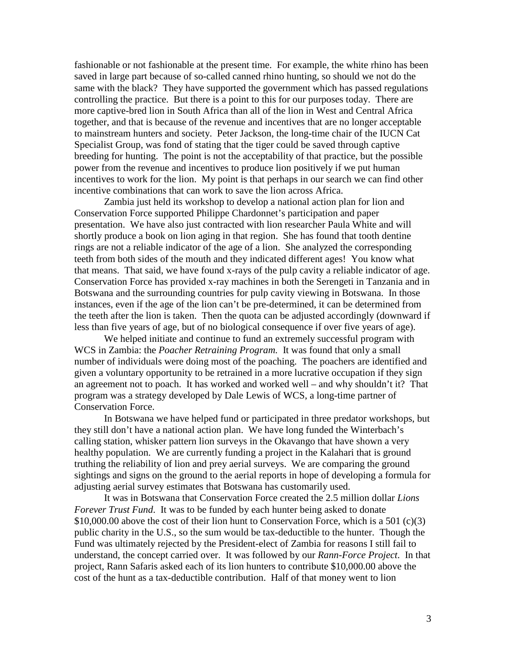fashionable or not fashionable at the present time. For example, the white rhino has been saved in large part because of so-called canned rhino hunting, so should we not do the same with the black? They have supported the government which has passed regulations controlling the practice. But there is a point to this for our purposes today. There are more captive-bred lion in South Africa than all of the lion in West and Central Africa together, and that is because of the revenue and incentives that are no longer acceptable to mainstream hunters and society. Peter Jackson, the long-time chair of the IUCN Cat Specialist Group, was fond of stating that the tiger could be saved through captive breeding for hunting. The point is not the acceptability of that practice, but the possible power from the revenue and incentives to produce lion positively if we put human incentives to work for the lion. My point is that perhaps in our search we can find other incentive combinations that can work to save the lion across Africa.

Zambia just held its workshop to develop a national action plan for lion and Conservation Force supported Philippe Chardonnet's participation and paper presentation. We have also just contracted with lion researcher Paula White and will shortly produce a book on lion aging in that region. She has found that tooth dentine rings are not a reliable indicator of the age of a lion. She analyzed the corresponding teeth from both sides of the mouth and they indicated different ages! You know what that means. That said, we have found x-rays of the pulp cavity a reliable indicator of age. Conservation Force has provided x-ray machines in both the Serengeti in Tanzania and in Botswana and the surrounding countries for pulp cavity viewing in Botswana. In those instances, even if the age of the lion can't be pre-determined, it can be determined from the teeth after the lion is taken. Then the quota can be adjusted accordingly (downward if less than five years of age, but of no biological consequence if over five years of age).

We helped initiate and continue to fund an extremely successful program with WCS in Zambia: the *Poacher Retraining Program.* It was found that only a small number of individuals were doing most of the poaching. The poachers are identified and given a voluntary opportunity to be retrained in a more lucrative occupation if they sign an agreement not to poach. It has worked and worked well – and why shouldn't it? That program was a strategy developed by Dale Lewis of WCS, a long-time partner of Conservation Force.

In Botswana we have helped fund or participated in three predator workshops, but they still don't have a national action plan. We have long funded the Winterbach's calling station, whisker pattern lion surveys in the Okavango that have shown a very healthy population. We are currently funding a project in the Kalahari that is ground truthing the reliability of lion and prey aerial surveys. We are comparing the ground sightings and signs on the ground to the aerial reports in hope of developing a formula for adjusting aerial survey estimates that Botswana has customarily used.

It was in Botswana that Conservation Force created the 2.5 million dollar *Lions Forever Trust Fund*. It was to be funded by each hunter being asked to donate \$10,000.00 above the cost of their lion hunt to Conservation Force, which is a 501 (c)(3) public charity in the U.S., so the sum would be tax-deductible to the hunter. Though the Fund was ultimately rejected by the President-elect of Zambia for reasons I still fail to understand, the concept carried over. It was followed by our *Rann-Force Project*. In that project, Rann Safaris asked each of its lion hunters to contribute \$10,000.00 above the cost of the hunt as a tax-deductible contribution. Half of that money went to lion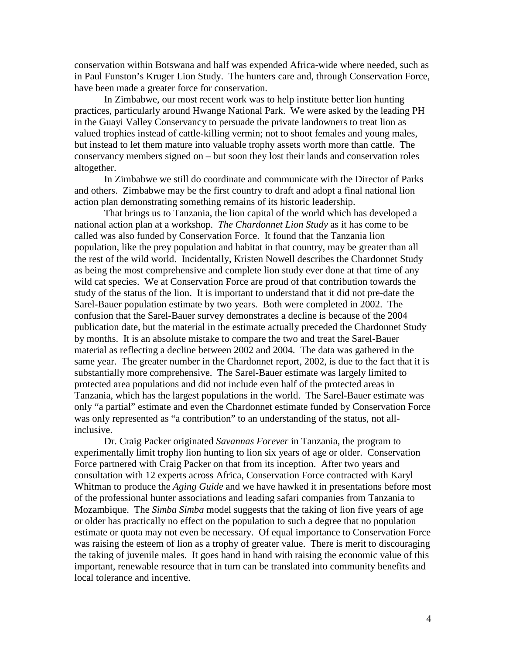conservation within Botswana and half was expended Africa-wide where needed, such as in Paul Funston's Kruger Lion Study. The hunters care and, through Conservation Force, have been made a greater force for conservation.

In Zimbabwe, our most recent work was to help institute better lion hunting practices, particularly around Hwange National Park. We were asked by the leading PH in the Guayi Valley Conservancy to persuade the private landowners to treat lion as valued trophies instead of cattle-killing vermin; not to shoot females and young males, but instead to let them mature into valuable trophy assets worth more than cattle. The conservancy members signed on – but soon they lost their lands and conservation roles altogether.

In Zimbabwe we still do coordinate and communicate with the Director of Parks and others. Zimbabwe may be the first country to draft and adopt a final national lion action plan demonstrating something remains of its historic leadership.

That brings us to Tanzania, the lion capital of the world which has developed a national action plan at a workshop. *The Chardonnet Lion Study* as it has come to be called was also funded by Conservation Force. It found that the Tanzania lion population, like the prey population and habitat in that country, may be greater than all the rest of the wild world. Incidentally, Kristen Nowell describes the Chardonnet Study as being the most comprehensive and complete lion study ever done at that time of any wild cat species. We at Conservation Force are proud of that contribution towards the study of the status of the lion. It is important to understand that it did not pre-date the Sarel-Bauer population estimate by two years. Both were completed in 2002. The confusion that the Sarel-Bauer survey demonstrates a decline is because of the 2004 publication date, but the material in the estimate actually preceded the Chardonnet Study by months. It is an absolute mistake to compare the two and treat the Sarel-Bauer material as reflecting a decline between 2002 and 2004. The data was gathered in the same year. The greater number in the Chardonnet report, 2002, is due to the fact that it is substantially more comprehensive. The Sarel-Bauer estimate was largely limited to protected area populations and did not include even half of the protected areas in Tanzania, which has the largest populations in the world. The Sarel-Bauer estimate was only "a partial" estimate and even the Chardonnet estimate funded by Conservation Force was only represented as "a contribution" to an understanding of the status, not allinclusive.

Dr. Craig Packer originated *Savannas Forever* in Tanzania, the program to experimentally limit trophy lion hunting to lion six years of age or older. Conservation Force partnered with Craig Packer on that from its inception. After two years and consultation with 12 experts across Africa, Conservation Force contracted with Karyl Whitman to produce the *Aging Guide* and we have hawked it in presentations before most of the professional hunter associations and leading safari companies from Tanzania to Mozambique. The *Simba Simba* model suggests that the taking of lion five years of age or older has practically no effect on the population to such a degree that no population estimate or quota may not even be necessary. Of equal importance to Conservation Force was raising the esteem of lion as a trophy of greater value. There is merit to discouraging the taking of juvenile males. It goes hand in hand with raising the economic value of this important, renewable resource that in turn can be translated into community benefits and local tolerance and incentive.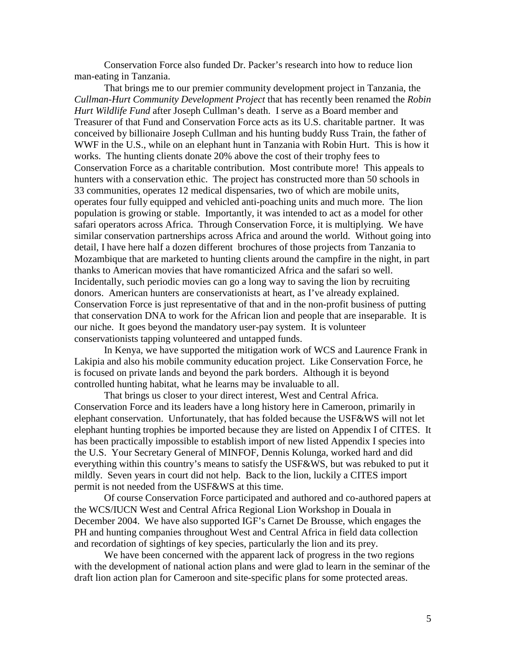Conservation Force also funded Dr. Packer's research into how to reduce lion man-eating in Tanzania.

That brings me to our premier community development project in Tanzania, the *Cullman-Hurt Community Development Project* that has recently been renamed the *Robin Hurt Wildlife Fund* after Joseph Cullman's death. I serve as a Board member and Treasurer of that Fund and Conservation Force acts as its U.S. charitable partner. It was conceived by billionaire Joseph Cullman and his hunting buddy Russ Train, the father of WWF in the U.S., while on an elephant hunt in Tanzania with Robin Hurt. This is how it works. The hunting clients donate 20% above the cost of their trophy fees to Conservation Force as a charitable contribution. Most contribute more! This appeals to hunters with a conservation ethic. The project has constructed more than 50 schools in 33 communities, operates 12 medical dispensaries, two of which are mobile units, operates four fully equipped and vehicled anti-poaching units and much more. The lion population is growing or stable. Importantly, it was intended to act as a model for other safari operators across Africa. Through Conservation Force, it is multiplying. We have similar conservation partnerships across Africa and around the world. Without going into detail, I have here half a dozen different brochures of those projects from Tanzania to Mozambique that are marketed to hunting clients around the campfire in the night, in part thanks to American movies that have romanticized Africa and the safari so well. Incidentally, such periodic movies can go a long way to saving the lion by recruiting donors. American hunters are conservationists at heart, as I've already explained. Conservation Force is just representative of that and in the non-profit business of putting that conservation DNA to work for the African lion and people that are inseparable. It is our niche. It goes beyond the mandatory user-pay system. It is volunteer conservationists tapping volunteered and untapped funds.

In Kenya, we have supported the mitigation work of WCS and Laurence Frank in Lakipia and also his mobile community education project. Like Conservation Force, he is focused on private lands and beyond the park borders. Although it is beyond controlled hunting habitat, what he learns may be invaluable to all.

That brings us closer to your direct interest, West and Central Africa. Conservation Force and its leaders have a long history here in Cameroon, primarily in elephant conservation. Unfortunately, that has folded because the USF&WS will not let elephant hunting trophies be imported because they are listed on Appendix I of CITES. It has been practically impossible to establish import of new listed Appendix I species into the U.S. Your Secretary General of MINFOF, Dennis Kolunga, worked hard and did everything within this country's means to satisfy the USF&WS, but was rebuked to put it mildly. Seven years in court did not help. Back to the lion, luckily a CITES import permit is not needed from the USF&WS at this time.

Of course Conservation Force participated and authored and co-authored papers at the WCS/IUCN West and Central Africa Regional Lion Workshop in Douala in December 2004. We have also supported IGF's Carnet De Brousse, which engages the PH and hunting companies throughout West and Central Africa in field data collection and recordation of sightings of key species, particularly the lion and its prey.

We have been concerned with the apparent lack of progress in the two regions with the development of national action plans and were glad to learn in the seminar of the draft lion action plan for Cameroon and site-specific plans for some protected areas.